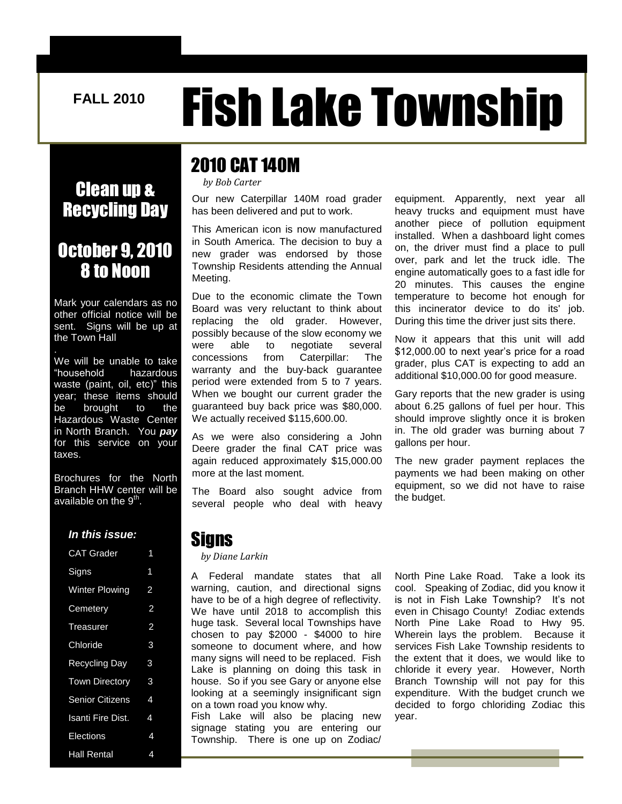# FALL 2010 **Fish Lake Township**

### Clean up & Recycling Day

### October 9, 2010 8 to Noon

Mark your calendars as no other official notice will be sent. Signs will be up at the Town Hall

We will be unable to take "household hazardous waste (paint, oil, etc)" this year; these items should be brought to the Hazardous Waste Center in North Branch. You *pay* for this service on your taxes.

Brochures for the North Branch HHW center will be available on the 9<sup>th</sup>.

#### *In this issue:*

| <b>CAT Grader</b>        | 1              |
|--------------------------|----------------|
| Signs                    | 1              |
| <b>Winter Plowing</b>    | 2              |
| Cemetery                 | $\overline{2}$ |
| Treasurer                | 2              |
| Chloride                 | 3              |
| <b>Recycling Day</b>     | 3              |
| <b>Town Directory</b>    | 3              |
| <b>Senior Citizens</b>   | 4              |
| <b>Isanti Fire Dist.</b> | 4              |
| Elections                | 4              |
| <b>Hall Rental</b>       | 4              |

### 2010 CAT 140M

*by Bob Carter*

Our new Caterpillar 140M road grader has been delivered and put to work.

This American icon is now manufactured in South America. The decision to buy a new grader was endorsed by those Township Residents attending the Annual Meeting.

Due to the economic climate the Town Board was very reluctant to think about replacing the old grader. However, possibly because of the slow economy we were able to negotiate several concessions from Caterpillar: The warranty and the buy-back guarantee period were extended from 5 to 7 years. When we bought our current grader the guaranteed buy back price was \$80,000. We actually received \$115,600.00.

As we were also considering a John Deere grader the final CAT price was again reduced approximately \$15,000.00 more at the last moment.

The Board also sought advice from several people who deal with heavy

equipment. Apparently, next year all heavy trucks and equipment must have another piece of pollution equipment installed. When a dashboard light comes on, the driver must find a place to pull over, park and let the truck idle. The engine automatically goes to a fast idle for 20 minutes. This causes the engine temperature to become hot enough for this incinerator device to do its' job. During this time the driver just sits there.

Now it appears that this unit will add \$12,000.00 to next year's price for a road grader, plus CAT is expecting to add an additional \$10,000.00 for good measure.

Gary reports that the new grader is using about 6.25 gallons of fuel per hour. This should improve slightly once it is broken in. The old grader was burning about 7 gallons per hour.

The new grader payment replaces the payments we had been making on other equipment, so we did not have to raise the budget.

### Signs

#### *by Diane Larkin*

A Federal mandate states that all warning, caution, and directional signs have to be of a high degree of reflectivity. We have until 2018 to accomplish this huge task. Several local Townships have chosen to pay \$2000 - \$4000 to hire someone to document where, and how many signs will need to be replaced. Fish Lake is planning on doing this task in house. So if you see Gary or anyone else looking at a seemingly insignificant sign on a town road you know why.  $\overline{1}$ 

Fish Lake will also be placing new signage stating you are entering our Township. There is one up on Zodiac/

North Pine Lake Road. Take a look its cool. Speaking of Zodiac, did you know it is not in Fish Lake Township? It's not even in Chisago County! Zodiac extends North Pine Lake Road to Hwy 95. Wherein lays the problem. Because it services Fish Lake Township residents to the extent that it does, we would like to chloride it every year. However, North Branch Township will not pay for this expenditure. With the budget crunch we decided to forgo chloriding Zodiac this year.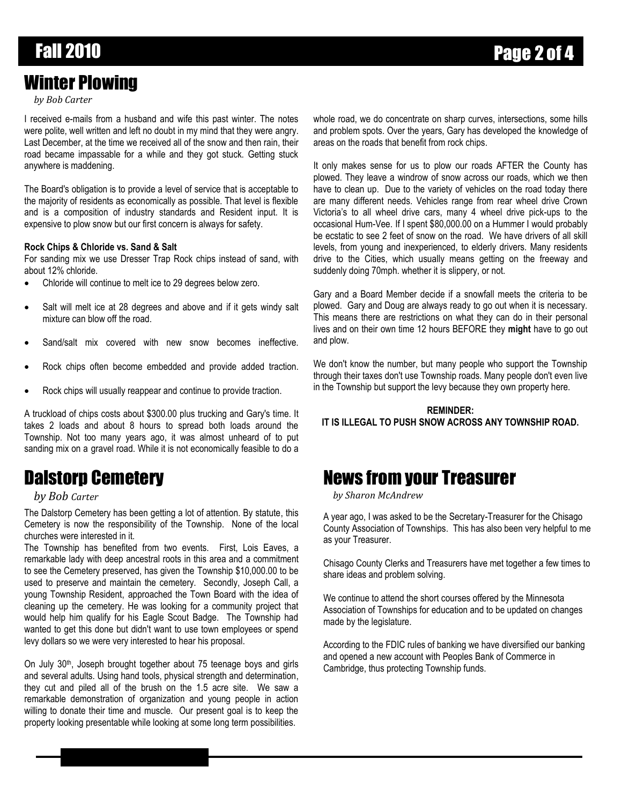# Fall 2010 Page 2 of 4

### Winter Plowing

#### *by Bob Carter*

I received e-mails from a husband and wife this past winter. The notes were polite, well written and left no doubt in my mind that they were angry. Last December, at the time we received all of the snow and then rain, their road became impassable for a while and they got stuck. Getting stuck anywhere is maddening.

The Board's obligation is to provide a level of service that is acceptable to the majority of residents as economically as possible. That level is flexible and is a composition of industry standards and Resident input. It is expensive to plow snow but our first concern is always for safety.

#### **Rock Chips & Chloride vs. Sand & Salt**

For sanding mix we use Dresser Trap Rock chips instead of sand, with about 12% chloride.

- Chloride will continue to melt ice to 29 degrees below zero.
- Salt will melt ice at 28 degrees and above and if it gets windy salt mixture can blow off the road.
- Sand/salt mix covered with new snow becomes ineffective.
- Rock chips often become embedded and provide added traction.
- Rock chips will usually reappear and continue to provide traction.

A truckload of chips costs about \$300.00 plus trucking and Gary's time. It takes 2 loads and about 8 hours to spread both loads around the Township. Not too many years ago, it was almost unheard of to put sanding mix on a gravel road. While it is not economically feasible to do a

### Dalstorp Cemetery

#### *by Bob Carter*

The Dalstorp Cemetery has been getting a lot of attention. By statute, this Cemetery is now the responsibility of the Township. None of the local churches were interested in it.

The Township has benefited from two events. First, Lois Eaves, a remarkable lady with deep ancestral roots in this area and a commitment to see the Cemetery preserved, has given the Township \$10,000.00 to be used to preserve and maintain the cemetery. Secondly, Joseph Call, a young Township Resident, approached the Town Board with the idea of cleaning up the cemetery. He was looking for a community project that would help him qualify for his Eagle Scout Badge. The Township had wanted to get this done but didn't want to use town employees or spend levy dollars so we were very interested to hear his proposal.

On July 30<sup>th</sup>, Joseph brought together about 75 teenage boys and girls and several adults. Using hand tools, physical strength and determination, they cut and piled all of the brush on the 1.5 acre site. We saw a remarkable demonstration of organization and young people in action willing to donate their time and muscle. Our present goal is to keep the property looking presentable while looking at some long term possibilities.

whole road, we do concentrate on sharp curves, intersections, some hills and problem spots. Over the years, Gary has developed the knowledge of areas on the roads that benefit from rock chips.

It only makes sense for us to plow our roads AFTER the County has plowed. They leave a windrow of snow across our roads, which we then have to clean up. Due to the variety of vehicles on the road today there are many different needs. Vehicles range from rear wheel drive Crown Victoria's to all wheel drive cars, many 4 wheel drive pick-ups to the occasional Hum-Vee. If I spent \$80,000.00 on a Hummer I would probably be ecstatic to see 2 feet of snow on the road. We have drivers of all skill levels, from young and inexperienced, to elderly drivers. Many residents drive to the Cities, which usually means getting on the freeway and suddenly doing 70mph. whether it is slippery, or not.

Gary and a Board Member decide if a snowfall meets the criteria to be plowed. Gary and Doug are always ready to go out when it is necessary. This means there are restrictions on what they can do in their personal lives and on their own time 12 hours BEFORE they **might** have to go out and plow.

We don't know the number, but many people who support the Township through their taxes don't use Township roads. Many people don't even live in the Township but support the levy because they own property here.

#### **REMINDER: IT IS ILLEGAL TO PUSH SNOW ACROSS ANY TOWNSHIP ROAD.**

### News from your Treasurer

*by Sharon McAndrew*

A year ago, I was asked to be the Secretary-Treasurer for the Chisago County Association of Townships. This has also been very helpful to me as your Treasurer.

Chisago County Clerks and Treasurers have met together a few times to share ideas and problem solving.

We continue to attend the short courses offered by the Minnesota Association of Townships for education and to be updated on changes made by the legislature.

According to the FDIC rules of banking we have diversified our banking and opened a new account with Peoples Bank of Commerce in Cambridge, thus protecting Township funds.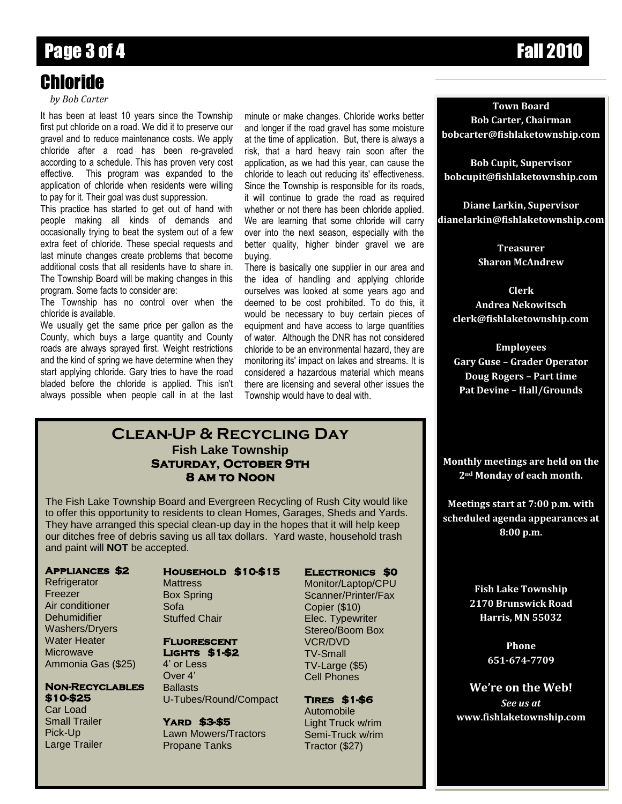# Page 3 of 4 Fall 2010

# Chloride

*by Bob Carter*

It has been at least 10 years since the Township first put chloride on a road. We did it to preserve our gravel and to reduce maintenance costs. We apply chloride after a road has been re-graveled according to a schedule. This has proven very cost effective. This program was expanded to the application of chloride when residents were willing to pay for it. Their goal was dust suppression.

This practice has started to get out of hand with people making all kinds of demands and occasionally trying to beat the system out of a few extra feet of chloride. These special requests and last minute changes create problems that become additional costs that all residents have to share in. The Township Board will be making changes in this program. Some facts to consider are:

The Township has no control over when the chloride is available.

We usually get the same price per gallon as the County, which buys a large quantity and County roads are always sprayed first. Weight restrictions and the kind of spring we have determine when they start applying chloride. Gary tries to have the road bladed before the chloride is applied. This isn't always possible when people call in at the last minute or make changes. Chloride works better and longer if the road gravel has some moisture at the time of application. But, there is always a risk, that a hard heavy rain soon after the application, as we had this year, can cause the chloride to leach out reducing its' effectiveness. Since the Township is responsible for its roads, it will continue to grade the road as required whether or not there has been chloride applied. We are learning that some chloride will carry over into the next season, especially with the better quality, higher binder gravel we are buying.

There is basically one supplier in our area and the idea of handling and applying chloride ourselves was looked at some years ago and deemed to be cost prohibited. To do this, it would be necessary to buy certain pieces of equipment and have access to large quantities of water. Although the DNR has not considered chloride to be an environmental hazard, they are monitoring its' impact on lakes and streams. It is considered a hazardous material which means there are licensing and several other issues the Township would have to deal with.

### **Clean-Up & Recycling Day Fish Lake Township Saturday, October 9th 8 am to Noon**

The Fish Lake Township Board and Evergreen Recycling of Rush City would like to offer this opportunity to residents to clean Homes, Garages, Sheds and Yards. They have arranged this special clean-up day in the hopes that it will help keep our ditches free of debris saving us all tax dollars. Yard waste, household trash and paint will **NOT** be accepted.

#### **Appliances \$2**

**Refrigerator** Freezer Air conditioner **Dehumidifier** Washers/Dryers Water Heater **Microwave** Ammonia Gas (\$25)

#### **Non-Recyclables \$10-\$25**

Car Load Small Trailer Pick-Up Large Trailer

#### **Household \$10-\$15 Electronics \$0**

**Mattress** Box Spring Sofa Stuffed Chair

#### **Fluorescent Lights \$1-\$2**

4' or Less Over 4' **Ballasts** U-Tubes/Round/Compact

**Yard \$3-\$5**  Lawn Mowers/Tractors Propane Tanks

Monitor/Laptop/CPU

Scanner/Printer/Fax Copier (\$10) Elec. Typewriter Stereo/Boom Box VCR/DVD TV-Small TV-Large (\$5) Cell Phones

### **Tires \$1-\$6**

Automobile Light Truck w/rim Semi-Truck w/rim Tractor (\$27)

**Town Board Bob Carter, Chairman bobcarter@fishlaketownship.com**

**Bob Cupit, Supervisor bobcupit@fishlaketownship.com**

**Diane Larkin, Supervisor dianelarkin@fishlaketownship.com**

> **Treasurer Sharon McAndrew**

**Clerk Andrea Nekowitsch clerk@fishlaketownship.com**

**Employees Gary Guse – Grader Operator Doug Rogers – Part time Pat Devine – Hall/Grounds**

**Monthly meetings are held on the 2nd Monday of each month.**

**Meetings start at 7:00 p.m. with scheduled agenda appearances at 8:00 p.m.**

> **Fish Lake Township 2170 Brunswick Road Harris, MN 55032**

> > **Phone 651-674-7709**

**We're on the Web!** *See us at* **www.fishlaketownship.com**